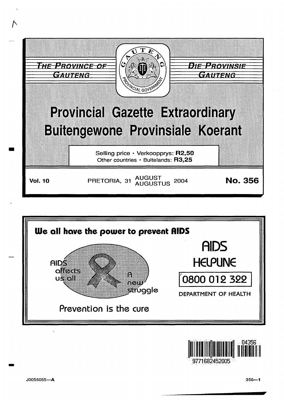





-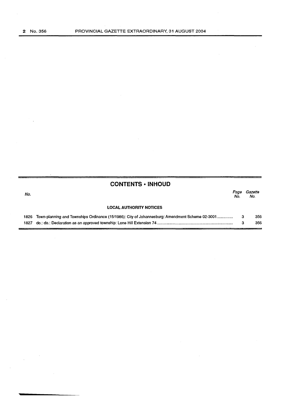|      | <b>CONTENTS • INHOUD</b>                                                                        |             |                |
|------|-------------------------------------------------------------------------------------------------|-------------|----------------|
| No.  |                                                                                                 | Page<br>No. | Gazette<br>No. |
|      | <b>LOCAL AUTHORITY NOTICES</b>                                                                  |             |                |
| 1826 | Town-planning and Townships Ordinance (15/1986): City of Johannesburg: Amendment Scheme 02-3001 | -3          | 356            |
|      |                                                                                                 | 3           | 356            |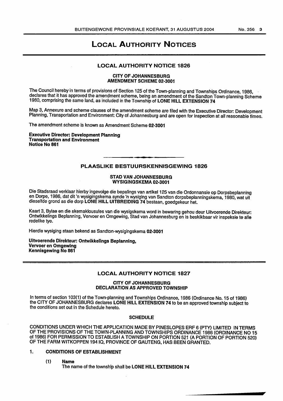### LOCAL AUTHORITY NOTICES

#### LOCAL AUTHORITY NOTICE 1826

#### CITY OF JOHANNESBURG AMENDMENT SCHEME 02-3001

The Council hereby in terms of provisions of Section 125 of the Town-planning and Townships Ordinance, 1986, declares that it has approved the amendment scheme, being an amendment of the Sandton Town-planning Scheme 1980, comprising the same land, as included in the Township of LONE HILL EXTENSION 74

Map 3, Annexure and scheme clauses of the amendment scheme are filed with the Executive Director: Development Planning, Transportation and Environment: City of Johannesburg and are open for inspection at all reasonable times.

The amendment scheme is known as Amendment Scheme 02-3001

Executive Director: Development Planning Transportation and Environment Notice No 861

### PLAASLIKE BESTUURSKENNISGEWING 1826

#### STAD VAN JOHANNESBURG WYSIGINGSKEMA 02-3001

Die Stadsraad verklaar hierby ingevolge die bepalings van artikel 125 van die Ordonnansie op Dorpsbeplanning en Dorpe, 1986, dat dit 'n wysigingskema synde 'n wysiging van Sandton dorpsbeplanningskema, 1980, wat uit dieselfde grand as die dorp LONE HILL UITBREIDING 74 bestaan, goedgekeur het.

Kaart 3, Bylae en die skemaklousules van die wysigskema word in bewaring gehou deur Uitvoerende Direkteur: Ontwikkelings Beplanning, Vervoer en Omgewing, Stad van Johannesburg en is beskikbaar vir inspeksie te aile redelike tye.

Hierdie wysiging staan bekend as Sandton-wysigingskema 02-3001

Uitvoerende Direkteur: Ontwikkellngs Beplanning, Vervoer en Omgewlng Kennisgewing No 861

### LOCAL AUTHORITY NOTICE 1827

#### CITY OF JOHANNESBURG DECLARATION AS APPROVED TOWNSHIP

In terms of section 103(1) of the Town-planning and Townships Ordinance, 1986 (Ordinance No. 15 of 1986) the CITY OF JOHANNESBURG declares LONE HILL EXTENSION 74 to be an approved township subject to the conditions set out in the Schedule hereto.

#### **SCHEDULE**

CONDITIONS UNDER WHICH THE APPLICATION MADE BY PINESLOPES ERF 6 (PTY) LIMITED IN TERMS OF THE PROVISIONS OF THE TOWN-PLANNING AND TOWNSHIPS ORDINANCE 1986 (ORDINANCE NO 15 of 1986) FOR PERMISSION TO ESTABLISH A TOWNSHIP ON PORTION 521 (A PORTION OF PORTION 520) OF THE FARM WITKOPPEN 19410, PROVINCE OF GAUTENG, HAS BEEN GRANTED.

#### 1. CONDITIONS OF ESTABLISHMENT

(1) Name

The name of the township shall be LONE HILL EXTENSION 74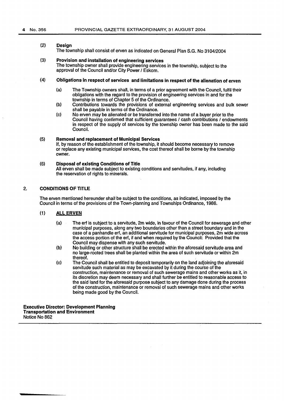#### (2) **Design**

The township shall consist of erven as indicated on General Plan S.G. No 3104/2004

#### (3) Provision and installation of engineering services

The township owner shall provide engineering services in the township, subject to the approval of the Council and/or City Power / Eskom.

#### (4) Obligations In respect of services and limitations in respect of the alienation of erven

- (a) The Township owners shall, in terms of a prior agreement with the Council, fulfil their obligations with the regard to the provision of engineering services in and for the township in terms of Chapter 5 of the Ordinance.
- (b) Contributions towards the provisions of external engineering services and bulk sewer shall be payable in terms of the Ordinance.
- (c) No erven may be alienated or be transferred into the name of a buyer prior to the Council having confirmed that sufficient guarantees / cash contributions / endowments in respect of the supply of services by the township owner has been made to the said Council.

#### {5) Removal and replacement of Municipal Services

If, by reason of the establishment of the township, it should become necessary to remove or replace any existing municipal services, the cost thereof shall be borne by the township owner.

#### (6) Disposal of existing Conditions of Title

All erven shall be made subject to existing conditions and servitudes, if any, including the reservation of rights to minerals.

### 2. CONDITIONS OF TITLE

The erven mentioned hereunder shall be subject to the conditions, as indicated, imposed by the Council in terms of the provisions of the Town-planning and Townships Ordinance, 1986.

#### (1) ALL ERVEN

- {a) The erf is subject to a servitude, 2m wide, in favour of the Council for sewerage and other municipal purposes, along any two boundaries other than a street boundary and in the case of a panhandle erf, an additional servitude for municipal purposes, 2m wide across the access portion of the erf, if and when required by the Council: Provided that the Council may dispense with any such servitude.
- (b) No building or other structure shall be erected within the aforesaid servitude area and no large-rooted trees shall be planted within the area of such servitude or within 2m thereof.
- (c) The Council shall be entitled to deposit temporarily on the land adjoining the aforesaid servitude such material as may be excavated by it during the course of the construction, maintenance or removal of such sewerage mains and other works as it, in its discretion may deem necessary and shall further be entitled to reasonable access to the said land for the aforesaid purpose subject to any damage done during the process of the construction, maintenance or removal of such sewerage mains and other works being made good by the Council.

Executive Director: Development Planning Transportation and Environment Notice No 862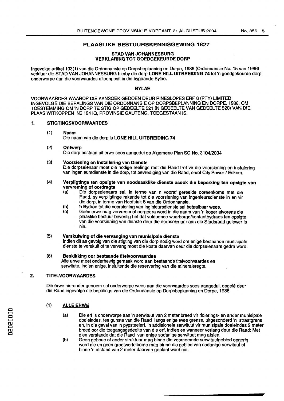#### PLAASLIKE BESTUURSKENNISGEWING 1827

#### STAD VAN JOHANNESBURG VERKLARING TOT GOEDGEKEURDE DORP

lngevolge artikel103(1) van die Ordonnansie op Dorpsbeplanning en Dorpe, 1986 (Ordonnansie No. 15 van 1986) verklaar die STAD VAN JOHANNESBURG hierby die dorp LONE HILL UITBREIDING 74 tot 'n goedgekeurde dorp onderworpe aan die voorwaardes uiteengesit in die bygaande Bylae.

#### BYLAE

VOORWMRDES WMROP DIE AANSOEK GEDOEN DEUR PINESLOPES ERF 6 (PTY) LIMITED INGEVOLGE DIE BEPALINGS VAN DIE ORDONNANSIE OP DORPSBEPLANNING EN DORPE, 1986, OM TOESTEMMING OM 'N DORP TE STIG OP GEDEELTE 521 {N GEDEELTE VAN GEDEELTE 520) VAN DIE PLAAS WITKOPPEN NO 19410, PROVINSIE GAUTENG, TOEGESTAAN IS.

#### 1. STIGTINGSVOORWAARDES

(1) Naam

Die naam van die dorp is LONE HILL UITBREIDING 74

(2) Ontwerp

Die dorp bestaan uit erwe soos aangedui op Algemene Plan SG No. 3104/2004

(3) Voorsiening en lnstallering van Dienste

Die dorpseienaar moet die nodige reelings met die Raad tref vir die voorsiening en instalering van ingenieursdienste in die dorp, tot bevrediging van die Raad, en/of City Power / Eskom.

- (4) Verpligtinge ten opsigte van noodsaaklike dienste asook die beperking ten opslgte van vervreming of oordragte<br>(a) Die dornseienaars
	- Die dorpseienaars sal, in terme van n vooraf gereelde ooreenkoms met die Raad, sy verpligtinge rakende tot die voorsiening van ingenieursdienste in en vir die dorp, in terme van Hoofstuk 5 van die Ordonnansie.
	- (b) in Bydrae tot die voorsiening van inginieursdienste sal betaalbaar wees.<br>(c) Geen erwe mag vervreem of oorgedra word in die naam van 'n koper a
	- (c) Geen erwe mag vervreem of oorgedra word in die naam van 'n koper alvorens die plaaslike bestuur bevestig het dat voldoende waarborge!kontantbydraes ten opsigte van die voorsiening van dienste deur die dorpseienaar aan die Stadsraad gelewer is nie.

#### (5) Verskulwing of die vervanglng van munlslpale dienste

Indian dit as gevolg van die stigting van die dorp nodig word om enige bestaande munisipate dienste te verskuif of te vervang moet die koste daarvan deur die dorpseienaars gedra word.

#### (6) Beskikking oor bestaande titelvoorwaardes

Aile erwe moet onderhewig gemaak word aan bestaande titelvoorwaardes en serwitute, indien enige, insluitende die reservering van die mineraleregte.

#### 2. TITELVOORWAARDES

Die erwe hieronder genoem sal onderworpe wees aan die voorwaardes soos aangedui, opgelê deur die Raad ingevolge die bepalings van die Ordonnansie op Dorpsbeplanning en Dorpe, 1986.

#### {1) ALLE ERWE

- $(a)$ Die erf is onderworpe aan 'n serwituut van 2 meter breed vir riolerings- en ander munisipale doeleindes, ten gunste van die Raad tangs enige twee grense, uitgesonderd 'n straatgrens en, in die geval van 'n pypsteelerf, 'n addisionele serwituut vir munisipale doeleindes 2 meter breed oor die toegangsgedeelte van die erf, indien en wanneer verlang deur die Raad: Met dien verstande dat die Raad van enige sodanige serwituut mag afsien.
- (b) Geen geboue of ander struktuur mag binne die voornoemde serwituutgebied opgerig word nie en geen grootwortelbome mag binne die gebied van sodanige serwituut of binne 'n afstand van 2 meter daarvan geplant word nie.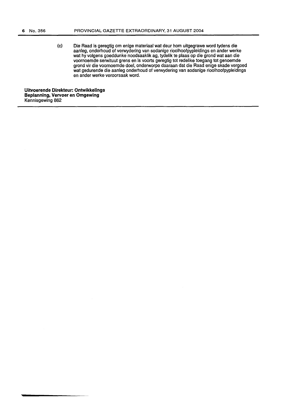(c) Die Raad is geregtig om enige materiaal wat deur hom uitgegrawe word tydens die aanleg, onderhoud of verwydering van sodanige rioolhoofpypleidings en ander werke wat hy volgens goeddunke noodsaaklik ag, tydelik te plaas op die grond wat aan die voornoemde serwituut grens en is voorts geregtig tot redelike toegang tot genoemde grond vir die voornoemde doel, onderworpe daaraan dat die Raad enige skade vergoed wat gedurende die aanleg onderhoud of verwydering van sodanige rioolhoofpypleidings en ander werke veroorsaak word.

**Uitvoerende Direkteur: Ontwikkelings Beplannlng, Vervoer en Omgewing**  Kennisgewing 862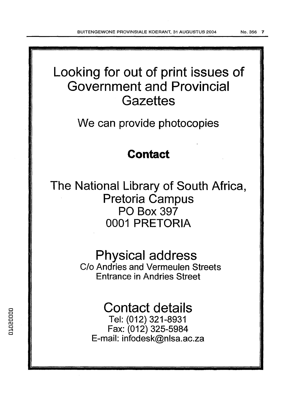# Looking for out of print issues of Government and Provincial **Gazettes**

We can provide photocopies

## **Contact**

The National Library of South Africa, Pretoria Campus PO Box 397 0001 PRETORIA

## Physical address

C/o Andries and Vermeulen Streets Entrance in Andries Street

## Contact details

Tel: (012) 321-8931 Fax: (012) 325-5984 E-mail: infodesk@nlsa.ac.za